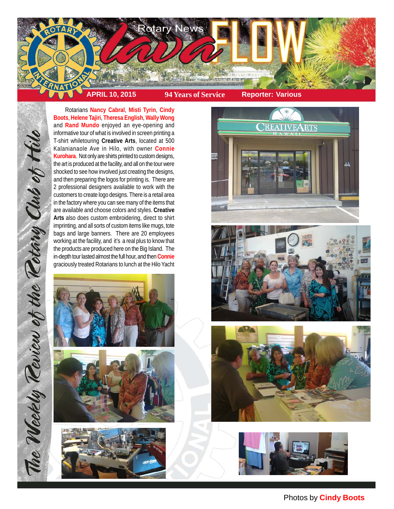

Rotarians **Nancy Cabral**, **Misti Tyrin**, **Cindy Boots**, **Helene Tajiri**, **Theresa English**, **Wally Wong** and **Rand Mundo** enjoyed an eye-opening and informative tour of what is involved in screen printing a T-shirt whiletouring **Creative Arts**, located at 500 Kalanianaole Ave in Hilo, with owner **Connie Kurohara**. Not only are shirts printed to custom designs, the art is produced at the facility, and all on the tour were shocked to see how involved just creating the designs, and then preparing the logos for printing is. There are 2 professional designers available to work with the customers to create logo designs. There is a retail area in the factory where you can see many of the items that are available and choose colors and styles. **Creative Arts** also does custom embroidering, direct to shirt imprinting, and all sorts of custom items like mugs, tote bags and large banners. There are 20 employees working at the facility, and it's a real plus to know that the products are produced here on the Big Island. The in-depth tour lasted almost the full hour, and then **Connie** graciously treated Rotarians to lunch at the Hilo Yacht



The Weekly Teview of the Tetary Club of Hilo













## Photos by **Cindy Boots**